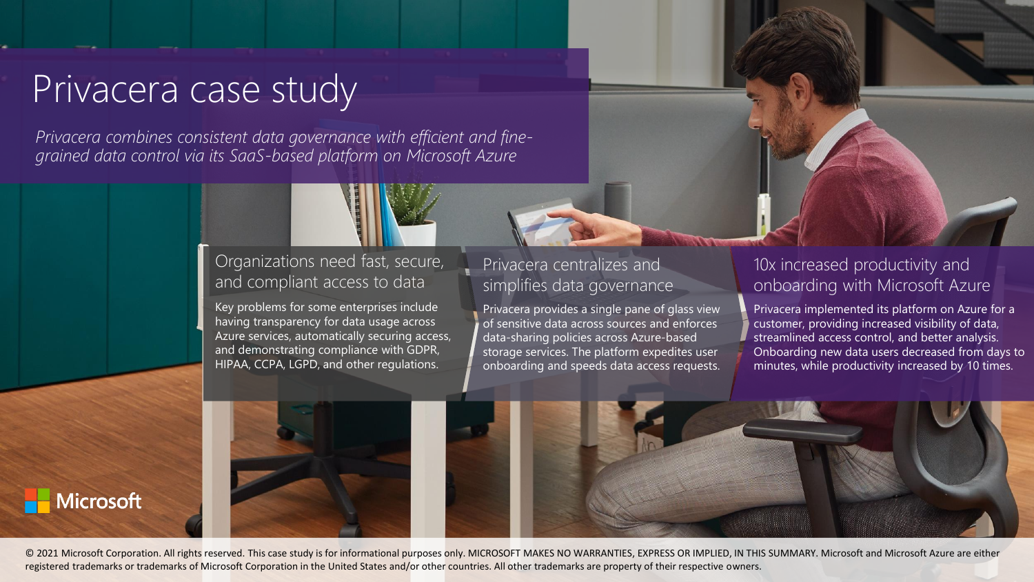# Privacera case study

**Microsoft** 

*Privacera combines consistent data governance with efficient and finegrained data control via its SaaS-based platform on Microsoft Azure*

# Organizations need fast, secure, and compliant access to data

Key problems for some enterprises include having transparency for data usage across Azure services, automatically securing access, and demonstrating compliance with GDPR, HIPAA, CCPA, LGPD, and other regulations.

## Privacera centralizes and simplifies data governance

Privacera provides a single pane of glass view of sensitive data across sources and enforces data-sharing policies across Azure-based storage services. The platform expedites user onboarding and speeds data access requests.

#### 10x increased productivity and onboarding with Microsoft Azure

Privacera implemented its platform on Azure for a customer, providing increased visibility of data, streamlined access control, and better analysis. Onboarding new data users decreased from days to minutes, while productivity increased by 10 times.



© 2021 Microsoft Corporation. All rights reserved. This case study is for informational purposes only. MICROSOFT MAKES NO WARRANTIES, EXPRESS OR IMPLIED, IN THIS SUMMARY. Microsoft and Microsoft Azure are either registered trademarks or trademarks of Microsoft Corporation in the United States and/or other countries. All other trademarks are property of their respective owners.